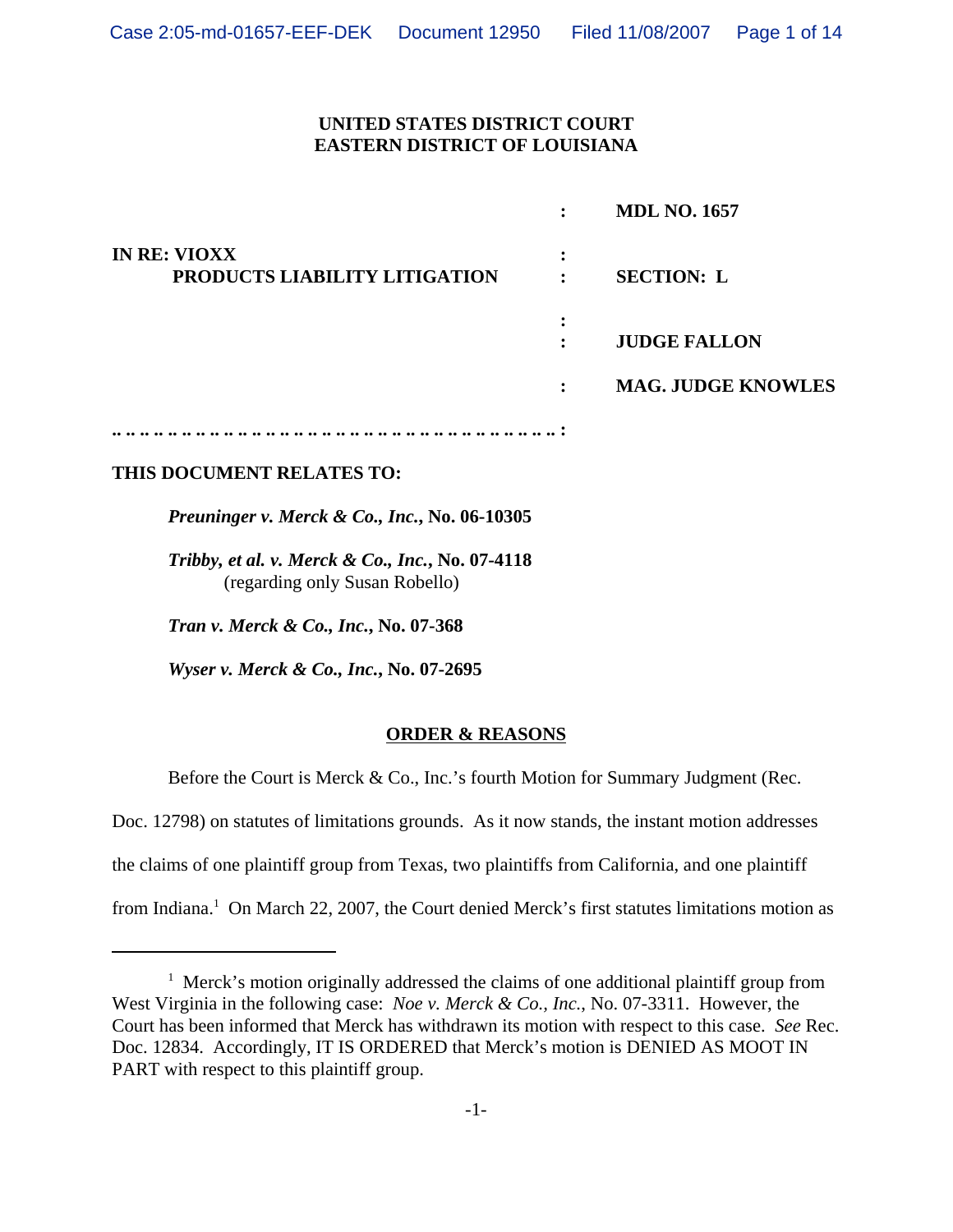## **UNITED STATES DISTRICT COURT EASTERN DISTRICT OF LOUISIANA**

|                                                      | ٠                                | <b>MDL NO. 1657</b>       |
|------------------------------------------------------|----------------------------------|---------------------------|
| <b>IN RE: VIOXX</b><br>PRODUCTS LIABILITY LITIGATION | ٠<br>٠<br>٠                      | <b>SECTION: L</b>         |
|                                                      | ٠<br>$\bullet$<br>$\ddot{\cdot}$ | <b>JUDGE FALLON</b>       |
|                                                      | $\ddot{\cdot}$                   | <b>MAG. JUDGE KNOWLES</b> |
|                                                      |                                  |                           |

## **THIS DOCUMENT RELATES TO:**

*Preuninger v. Merck & Co., Inc.***, No. 06-10305**

*Tribby, et al. v. Merck & Co., Inc.***, No. 07-4118** (regarding only Susan Robello)

*Tran v. Merck & Co., Inc.***, No. 07-368**

*Wyser v. Merck & Co., Inc.***, No. 07-2695**

## **ORDER & REASONS**

Before the Court is Merck & Co., Inc.'s fourth Motion for Summary Judgment (Rec.

Doc. 12798) on statutes of limitations grounds. As it now stands, the instant motion addresses

the claims of one plaintiff group from Texas, two plaintiffs from California, and one plaintiff

from Indiana.<sup>1</sup> On March 22, 2007, the Court denied Merck's first statutes limitations motion as

<sup>&</sup>lt;sup>1</sup> Merck's motion originally addressed the claims of one additional plaintiff group from West Virginia in the following case: *Noe v. Merck & Co., Inc.*, No. 07-3311. However, the Court has been informed that Merck has withdrawn its motion with respect to this case. *See* Rec. Doc. 12834. Accordingly, IT IS ORDERED that Merck's motion is DENIED AS MOOT IN PART with respect to this plaintiff group.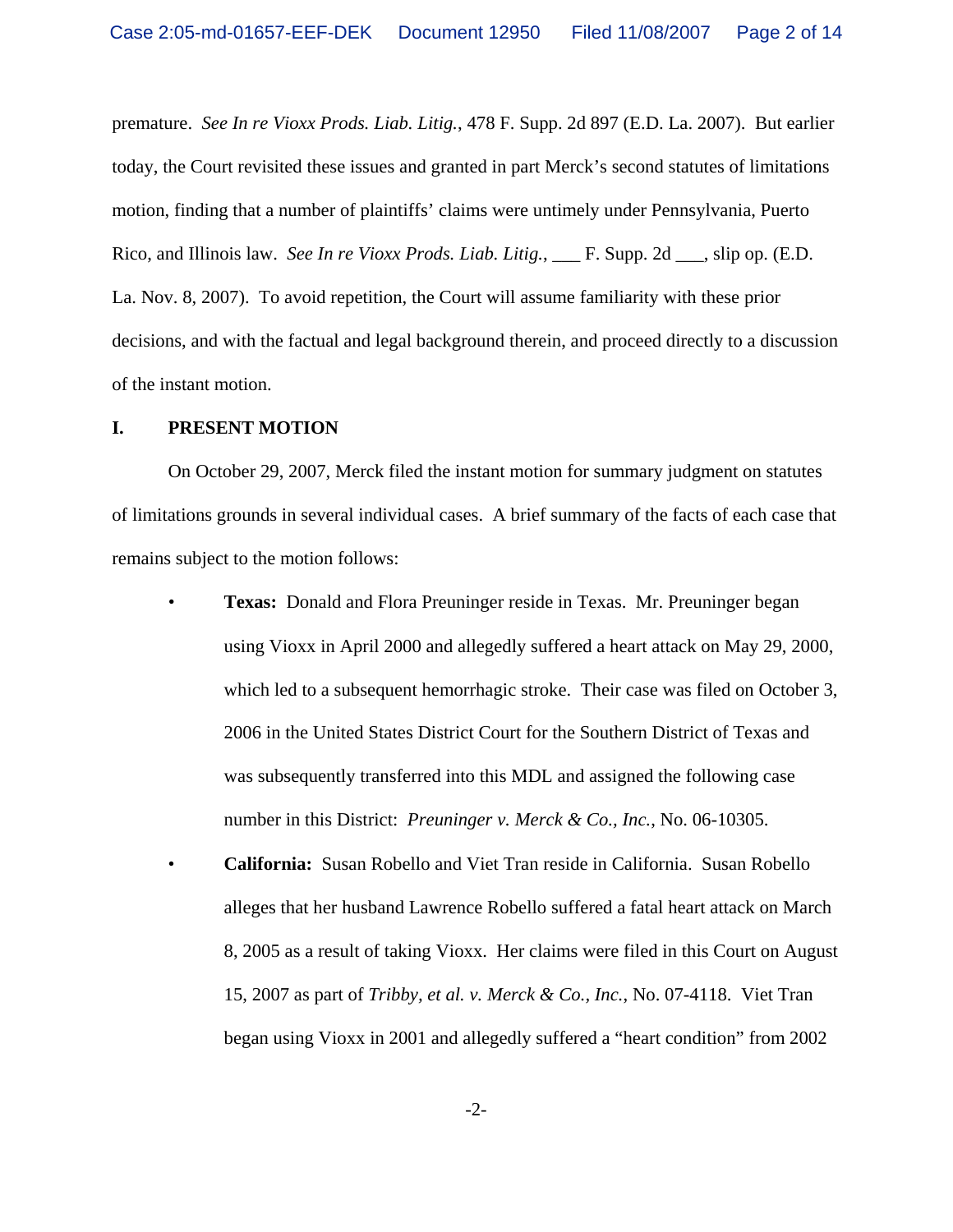premature. *See In re Vioxx Prods. Liab. Litig.*, 478 F. Supp. 2d 897 (E.D. La. 2007). But earlier today, the Court revisited these issues and granted in part Merck's second statutes of limitations motion, finding that a number of plaintiffs' claims were untimely under Pennsylvania, Puerto Rico, and Illinois law. *See In re Vioxx Prods. Liab. Litig.*, \_\_\_ F. Supp. 2d \_\_\_, slip op. (E.D. La. Nov. 8, 2007). To avoid repetition, the Court will assume familiarity with these prior decisions, and with the factual and legal background therein, and proceed directly to a discussion of the instant motion.

### **I. PRESENT MOTION**

On October 29, 2007, Merck filed the instant motion for summary judgment on statutes of limitations grounds in several individual cases. A brief summary of the facts of each case that remains subject to the motion follows:

- *•* **Texas:** Donald and Flora Preuninger reside in Texas. Mr. Preuninger began using Vioxx in April 2000 and allegedly suffered a heart attack on May 29, 2000, which led to a subsequent hemorrhagic stroke. Their case was filed on October 3, 2006 in the United States District Court for the Southern District of Texas and was subsequently transferred into this MDL and assigned the following case number in this District: *Preuninger v. Merck & Co., Inc.*, No. 06-10305.
- **California:** Susan Robello and Viet Tran reside in California. Susan Robello alleges that her husband Lawrence Robello suffered a fatal heart attack on March 8, 2005 as a result of taking Vioxx. Her claims were filed in this Court on August 15, 2007 as part of *Tribby, et al. v. Merck & Co., Inc.*, No. 07-4118. Viet Tran began using Vioxx in 2001 and allegedly suffered a "heart condition" from 2002

-2-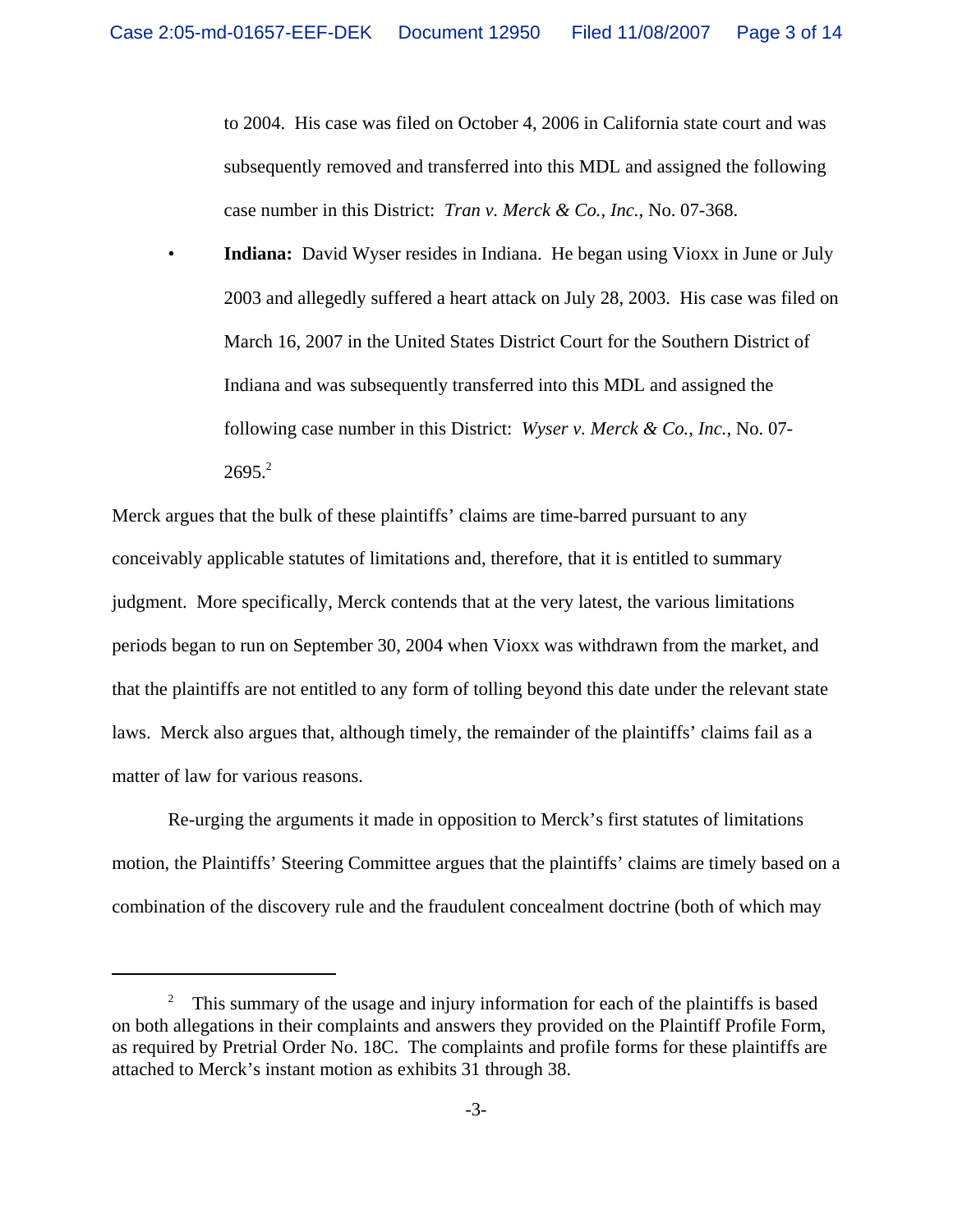to 2004. His case was filed on October 4, 2006 in California state court and was subsequently removed and transferred into this MDL and assigned the following case number in this District: *Tran v. Merck & Co., Inc.*, No. 07-368.

• **Indiana:** David Wyser resides in Indiana. He began using Vioxx in June or July 2003 and allegedly suffered a heart attack on July 28, 2003. His case was filed on March 16, 2007 in the United States District Court for the Southern District of Indiana and was subsequently transferred into this MDL and assigned the following case number in this District: *Wyser v. Merck & Co., Inc.*, No. 07-  $2695.<sup>2</sup>$ 

Merck argues that the bulk of these plaintiffs' claims are time-barred pursuant to any conceivably applicable statutes of limitations and, therefore, that it is entitled to summary judgment. More specifically, Merck contends that at the very latest, the various limitations periods began to run on September 30, 2004 when Vioxx was withdrawn from the market, and that the plaintiffs are not entitled to any form of tolling beyond this date under the relevant state laws. Merck also argues that, although timely, the remainder of the plaintiffs' claims fail as a matter of law for various reasons.

Re-urging the arguments it made in opposition to Merck's first statutes of limitations motion, the Plaintiffs' Steering Committee argues that the plaintiffs' claims are timely based on a combination of the discovery rule and the fraudulent concealment doctrine (both of which may

<sup>&</sup>lt;sup>2</sup> This summary of the usage and injury information for each of the plaintiffs is based on both allegations in their complaints and answers they provided on the Plaintiff Profile Form, as required by Pretrial Order No. 18C. The complaints and profile forms for these plaintiffs are attached to Merck's instant motion as exhibits 31 through 38.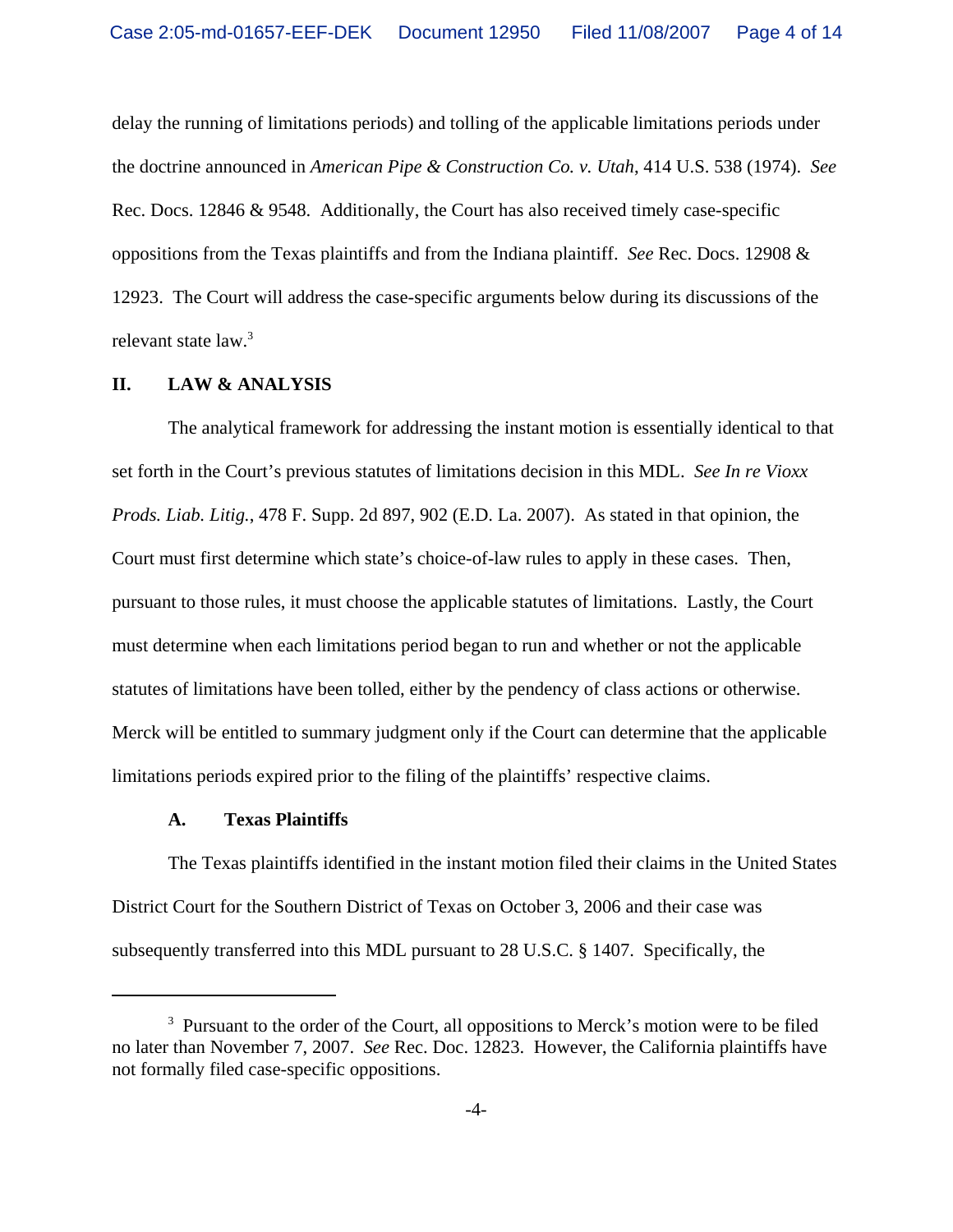delay the running of limitations periods) and tolling of the applicable limitations periods under the doctrine announced in *American Pipe & Construction Co. v. Utah*, 414 U.S. 538 (1974). *See* Rec. Docs. 12846 & 9548. Additionally, the Court has also received timely case-specific oppositions from the Texas plaintiffs and from the Indiana plaintiff. *See* Rec. Docs. 12908 & 12923. The Court will address the case-specific arguments below during its discussions of the relevant state law.<sup>3</sup>

### **II. LAW & ANALYSIS**

The analytical framework for addressing the instant motion is essentially identical to that set forth in the Court's previous statutes of limitations decision in this MDL. *See In re Vioxx Prods. Liab. Litig.*, 478 F. Supp. 2d 897, 902 (E.D. La. 2007). As stated in that opinion, the Court must first determine which state's choice-of-law rules to apply in these cases. Then, pursuant to those rules, it must choose the applicable statutes of limitations. Lastly, the Court must determine when each limitations period began to run and whether or not the applicable statutes of limitations have been tolled, either by the pendency of class actions or otherwise. Merck will be entitled to summary judgment only if the Court can determine that the applicable limitations periods expired prior to the filing of the plaintiffs' respective claims.

#### **A. Texas Plaintiffs**

The Texas plaintiffs identified in the instant motion filed their claims in the United States District Court for the Southern District of Texas on October 3, 2006 and their case was subsequently transferred into this MDL pursuant to 28 U.S.C. § 1407. Specifically, the

<sup>&</sup>lt;sup>3</sup> Pursuant to the order of the Court, all oppositions to Merck's motion were to be filed no later than November 7, 2007. *See* Rec. Doc. 12823. However, the California plaintiffs have not formally filed case-specific oppositions.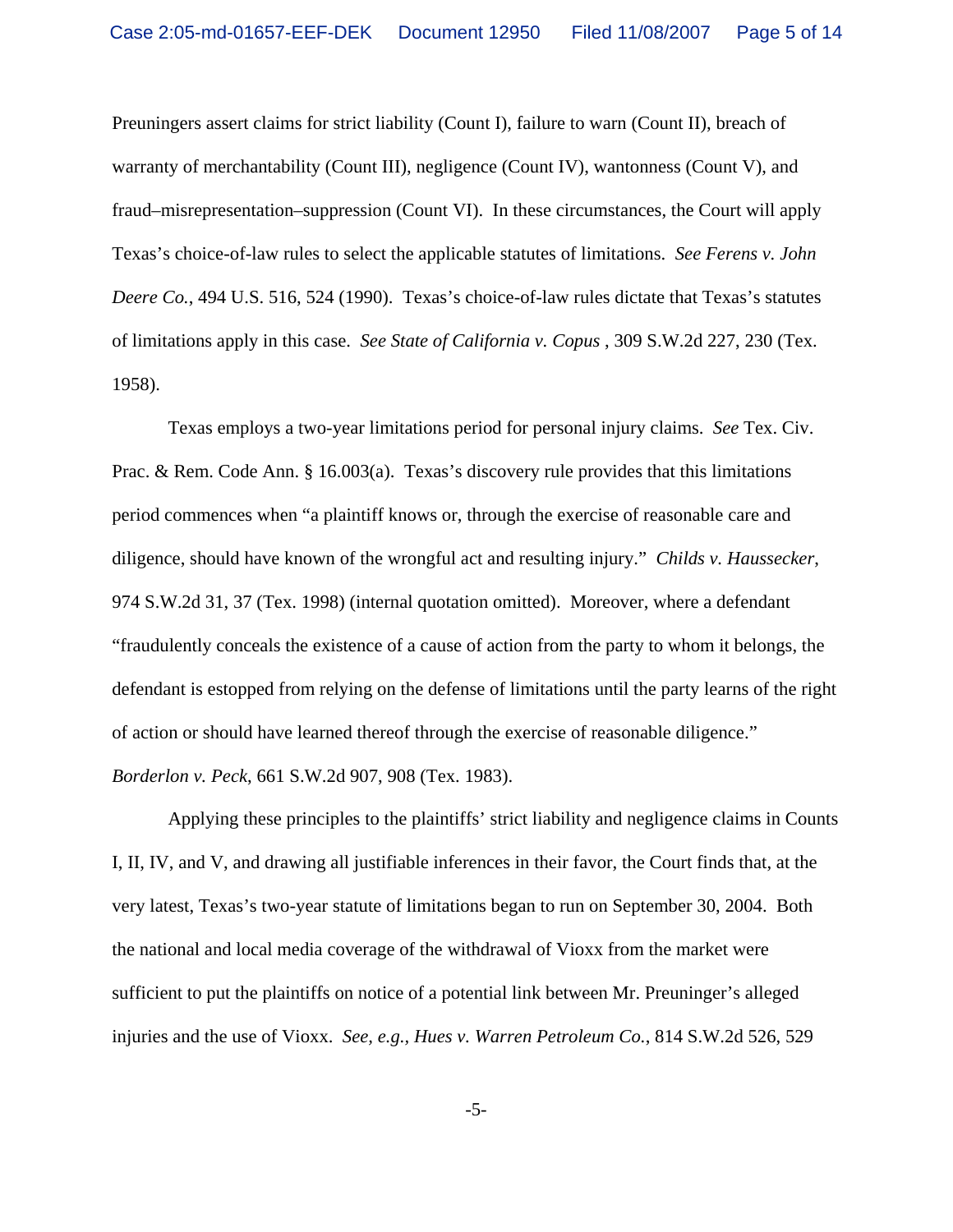Preuningers assert claims for strict liability (Count I), failure to warn (Count II), breach of warranty of merchantability (Count III), negligence (Count IV), wantonness (Count V), and fraud–misrepresentation–suppression (Count VI). In these circumstances, the Court will apply Texas's choice-of-law rules to select the applicable statutes of limitations. *See Ferens v. John Deere Co.*, 494 U.S. 516, 524 (1990). Texas's choice-of-law rules dictate that Texas's statutes of limitations apply in this case. *See State of California v. Copus* , 309 S.W.2d 227, 230 (Tex. 1958).

Texas employs a two-year limitations period for personal injury claims. *See* Tex. Civ. Prac. & Rem. Code Ann. § 16.003(a). Texas's discovery rule provides that this limitations period commences when "a plaintiff knows or, through the exercise of reasonable care and diligence, should have known of the wrongful act and resulting injury." *Childs v. Haussecker*, 974 S.W.2d 31, 37 (Tex. 1998) (internal quotation omitted). Moreover, where a defendant "fraudulently conceals the existence of a cause of action from the party to whom it belongs, the defendant is estopped from relying on the defense of limitations until the party learns of the right of action or should have learned thereof through the exercise of reasonable diligence." *Borderlon v. Peck*, 661 S.W.2d 907, 908 (Tex. 1983).

Applying these principles to the plaintiffs' strict liability and negligence claims in Counts I, II, IV, and V, and drawing all justifiable inferences in their favor, the Court finds that, at the very latest, Texas's two-year statute of limitations began to run on September 30, 2004. Both the national and local media coverage of the withdrawal of Vioxx from the market were sufficient to put the plaintiffs on notice of a potential link between Mr. Preuninger's alleged injuries and the use of Vioxx. *See, e.g., Hues v. Warren Petroleum Co.*, 814 S.W.2d 526, 529

-5-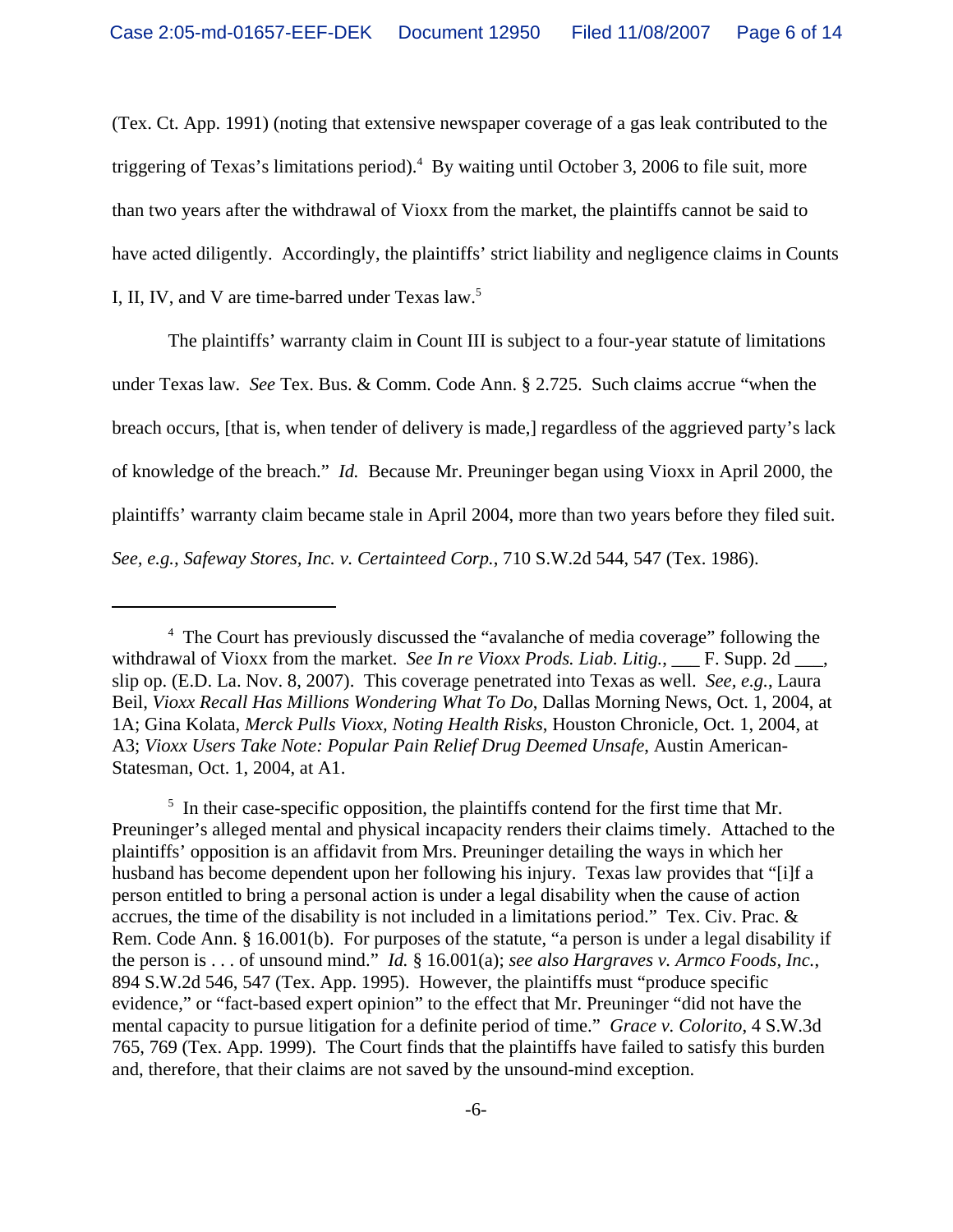(Tex. Ct. App. 1991) (noting that extensive newspaper coverage of a gas leak contributed to the triggering of Texas's limitations period).<sup>4</sup> By waiting until October 3, 2006 to file suit, more than two years after the withdrawal of Vioxx from the market, the plaintiffs cannot be said to have acted diligently. Accordingly, the plaintiffs' strict liability and negligence claims in Counts I, II, IV, and V are time-barred under Texas law.<sup>5</sup>

The plaintiffs' warranty claim in Count III is subject to a four-year statute of limitations under Texas law. *See* Tex. Bus. & Comm. Code Ann. § 2.725. Such claims accrue "when the breach occurs, [that is, when tender of delivery is made,] regardless of the aggrieved party's lack of knowledge of the breach." *Id.* Because Mr. Preuninger began using Vioxx in April 2000, the plaintiffs' warranty claim became stale in April 2004, more than two years before they filed suit. *See, e.g., Safeway Stores, Inc. v. Certainteed Corp.*, 710 S.W.2d 544, 547 (Tex. 1986).

<sup>&</sup>lt;sup>4</sup> The Court has previously discussed the "avalanche of media coverage" following the withdrawal of Vioxx from the market. *See In re Vioxx Prods. Liab. Litig.*, \_\_\_ F. Supp. 2d \_\_\_, slip op. (E.D. La. Nov. 8, 2007). This coverage penetrated into Texas as well. *See, e.g.*, Laura Beil, *Vioxx Recall Has Millions Wondering What To Do*, Dallas Morning News, Oct. 1, 2004, at 1A; Gina Kolata, *Merck Pulls Vioxx, Noting Health Risks*, Houston Chronicle, Oct. 1, 2004, at A3; *Vioxx Users Take Note: Popular Pain Relief Drug Deemed Unsafe*, Austin American-Statesman, Oct. 1, 2004, at A1.

<sup>&</sup>lt;sup>5</sup> In their case-specific opposition, the plaintiffs contend for the first time that Mr. Preuninger's alleged mental and physical incapacity renders their claims timely. Attached to the plaintiffs' opposition is an affidavit from Mrs. Preuninger detailing the ways in which her husband has become dependent upon her following his injury. Texas law provides that "[i]f a person entitled to bring a personal action is under a legal disability when the cause of action accrues, the time of the disability is not included in a limitations period." Tex. Civ. Prac. & Rem. Code Ann. § 16.001(b). For purposes of the statute, "a person is under a legal disability if the person is . . . of unsound mind." *Id.* § 16.001(a); *see also Hargraves v. Armco Foods, Inc.*, 894 S.W.2d 546, 547 (Tex. App. 1995). However, the plaintiffs must "produce specific evidence," or "fact-based expert opinion" to the effect that Mr. Preuninger "did not have the mental capacity to pursue litigation for a definite period of time." *Grace v. Colorito*, 4 S.W.3d 765, 769 (Tex. App. 1999). The Court finds that the plaintiffs have failed to satisfy this burden and, therefore, that their claims are not saved by the unsound-mind exception.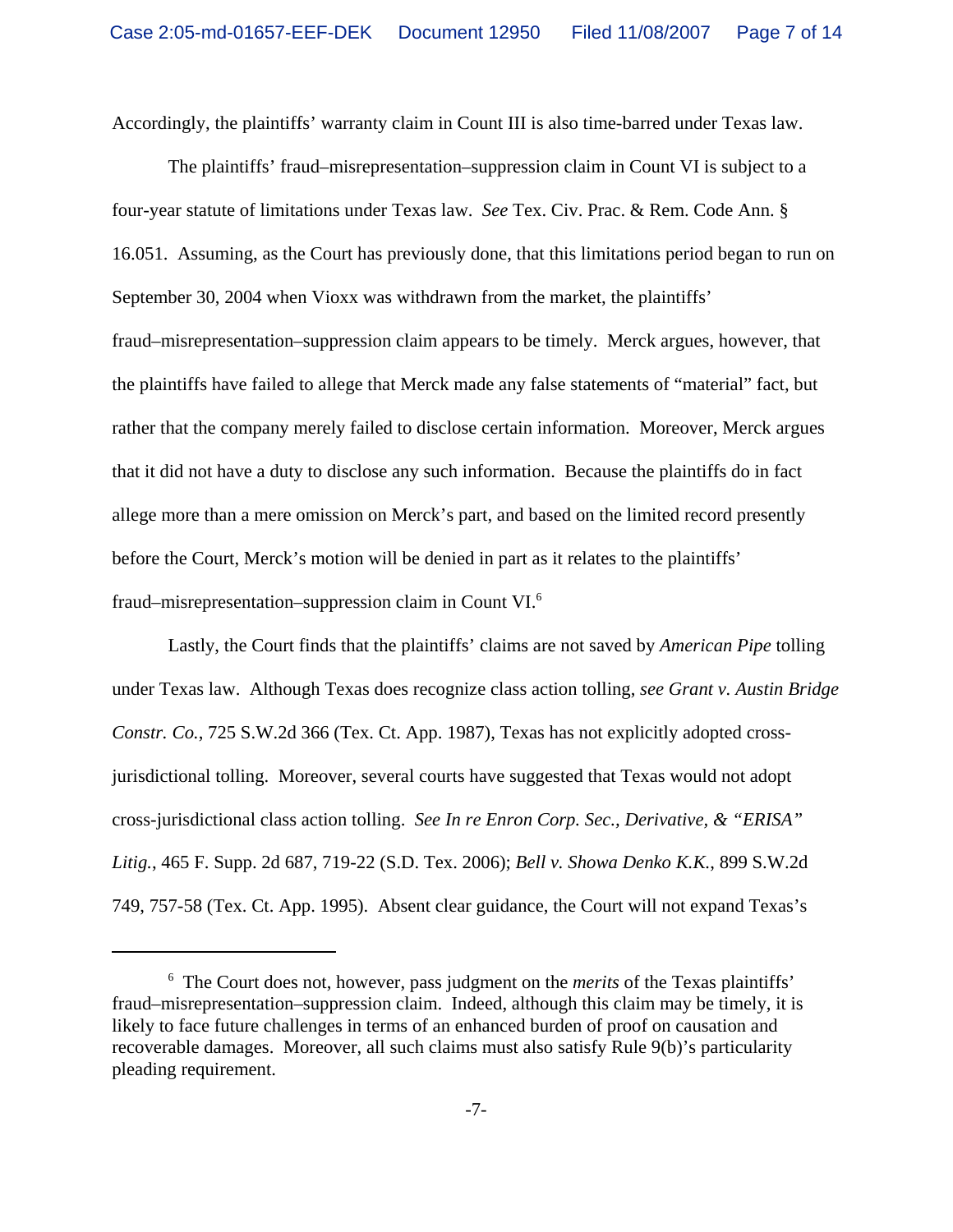Accordingly, the plaintiffs' warranty claim in Count III is also time-barred under Texas law.

The plaintiffs' fraud–misrepresentation–suppression claim in Count VI is subject to a four-year statute of limitations under Texas law. *See* Tex. Civ. Prac. & Rem. Code Ann. § 16.051. Assuming, as the Court has previously done, that this limitations period began to run on September 30, 2004 when Vioxx was withdrawn from the market, the plaintiffs' fraud–misrepresentation–suppression claim appears to be timely. Merck argues, however, that the plaintiffs have failed to allege that Merck made any false statements of "material" fact, but rather that the company merely failed to disclose certain information. Moreover, Merck argues that it did not have a duty to disclose any such information. Because the plaintiffs do in fact allege more than a mere omission on Merck's part, and based on the limited record presently before the Court, Merck's motion will be denied in part as it relates to the plaintiffs' fraud–misrepresentation–suppression claim in Count VI.6

Lastly, the Court finds that the plaintiffs' claims are not saved by *American Pipe* tolling under Texas law. Although Texas does recognize class action tolling, *see Grant v. Austin Bridge Constr. Co.*, 725 S.W.2d 366 (Tex. Ct. App. 1987), Texas has not explicitly adopted crossjurisdictional tolling. Moreover, several courts have suggested that Texas would not adopt cross-jurisdictional class action tolling. *See In re Enron Corp. Sec., Derivative, & "ERISA" Litig.*, 465 F. Supp. 2d 687, 719-22 (S.D. Tex. 2006); *Bell v. Showa Denko K.K.*, 899 S.W.2d 749, 757-58 (Tex. Ct. App. 1995). Absent clear guidance, the Court will not expand Texas's

<sup>6</sup> The Court does not, however, pass judgment on the *merits* of the Texas plaintiffs' fraud–misrepresentation–suppression claim. Indeed, although this claim may be timely, it is likely to face future challenges in terms of an enhanced burden of proof on causation and recoverable damages. Moreover, all such claims must also satisfy Rule 9(b)'s particularity pleading requirement.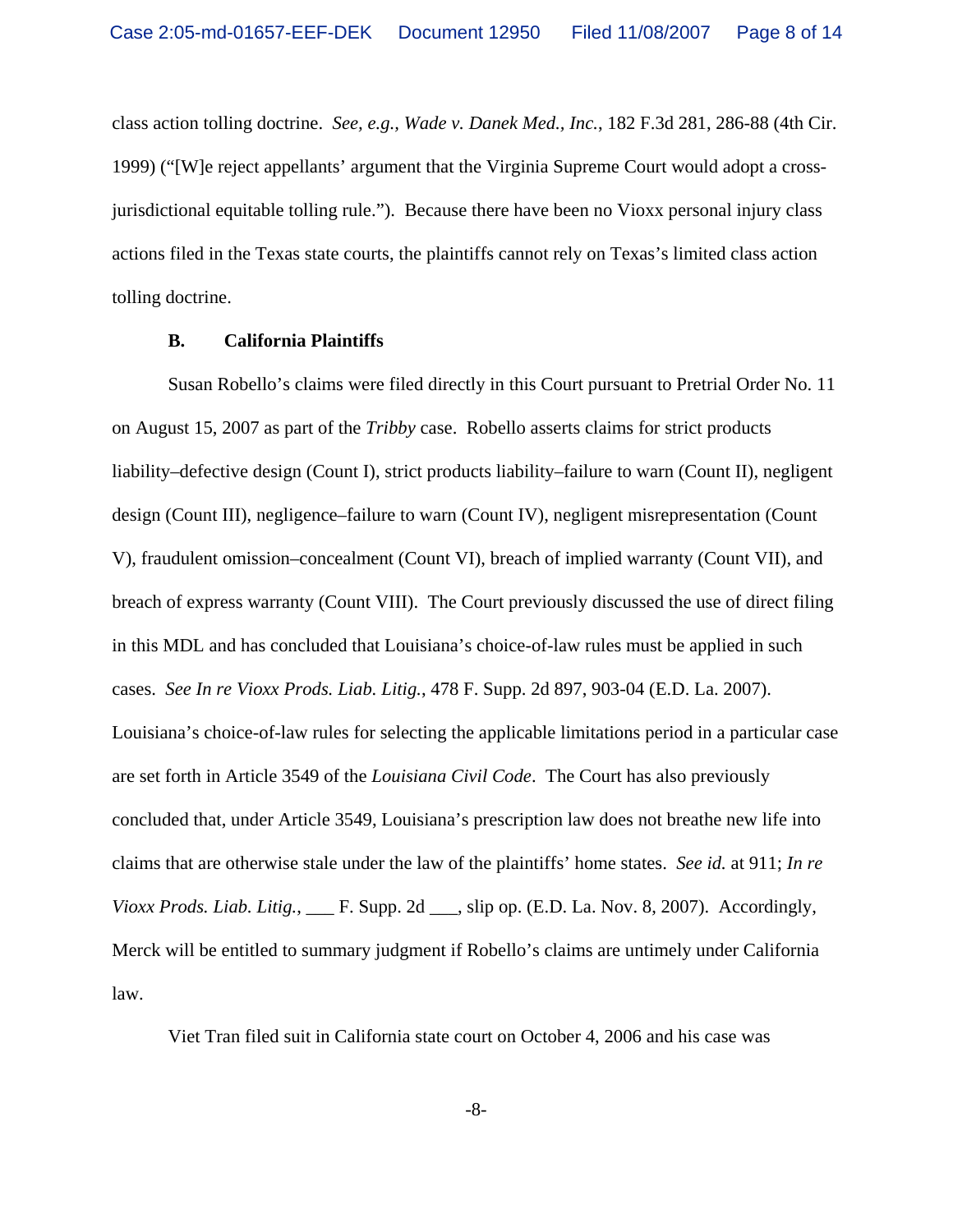class action tolling doctrine. *See, e.g., Wade v. Danek Med., Inc.*, 182 F.3d 281, 286-88 (4th Cir. 1999) ("[W]e reject appellants' argument that the Virginia Supreme Court would adopt a crossjurisdictional equitable tolling rule."). Because there have been no Vioxx personal injury class actions filed in the Texas state courts, the plaintiffs cannot rely on Texas's limited class action tolling doctrine.

### **B. California Plaintiffs**

Susan Robello's claims were filed directly in this Court pursuant to Pretrial Order No. 11 on August 15, 2007 as part of the *Tribby* case. Robello asserts claims for strict products liability–defective design (Count I), strict products liability–failure to warn (Count II), negligent design (Count III), negligence–failure to warn (Count IV), negligent misrepresentation (Count V), fraudulent omission–concealment (Count VI), breach of implied warranty (Count VII), and breach of express warranty (Count VIII). The Court previously discussed the use of direct filing in this MDL and has concluded that Louisiana's choice-of-law rules must be applied in such cases. *See In re Vioxx Prods. Liab. Litig.*, 478 F. Supp. 2d 897, 903-04 (E.D. La. 2007). Louisiana's choice-of-law rules for selecting the applicable limitations period in a particular case are set forth in Article 3549 of the *Louisiana Civil Code*. The Court has also previously concluded that, under Article 3549, Louisiana's prescription law does not breathe new life into claims that are otherwise stale under the law of the plaintiffs' home states. *See id.* at 911; *In re Vioxx Prods. Liab. Litig.*, \_\_\_ F. Supp. 2d \_\_\_, slip op. (E.D. La. Nov. 8, 2007). Accordingly, Merck will be entitled to summary judgment if Robello's claims are untimely under California law.

Viet Tran filed suit in California state court on October 4, 2006 and his case was

-8-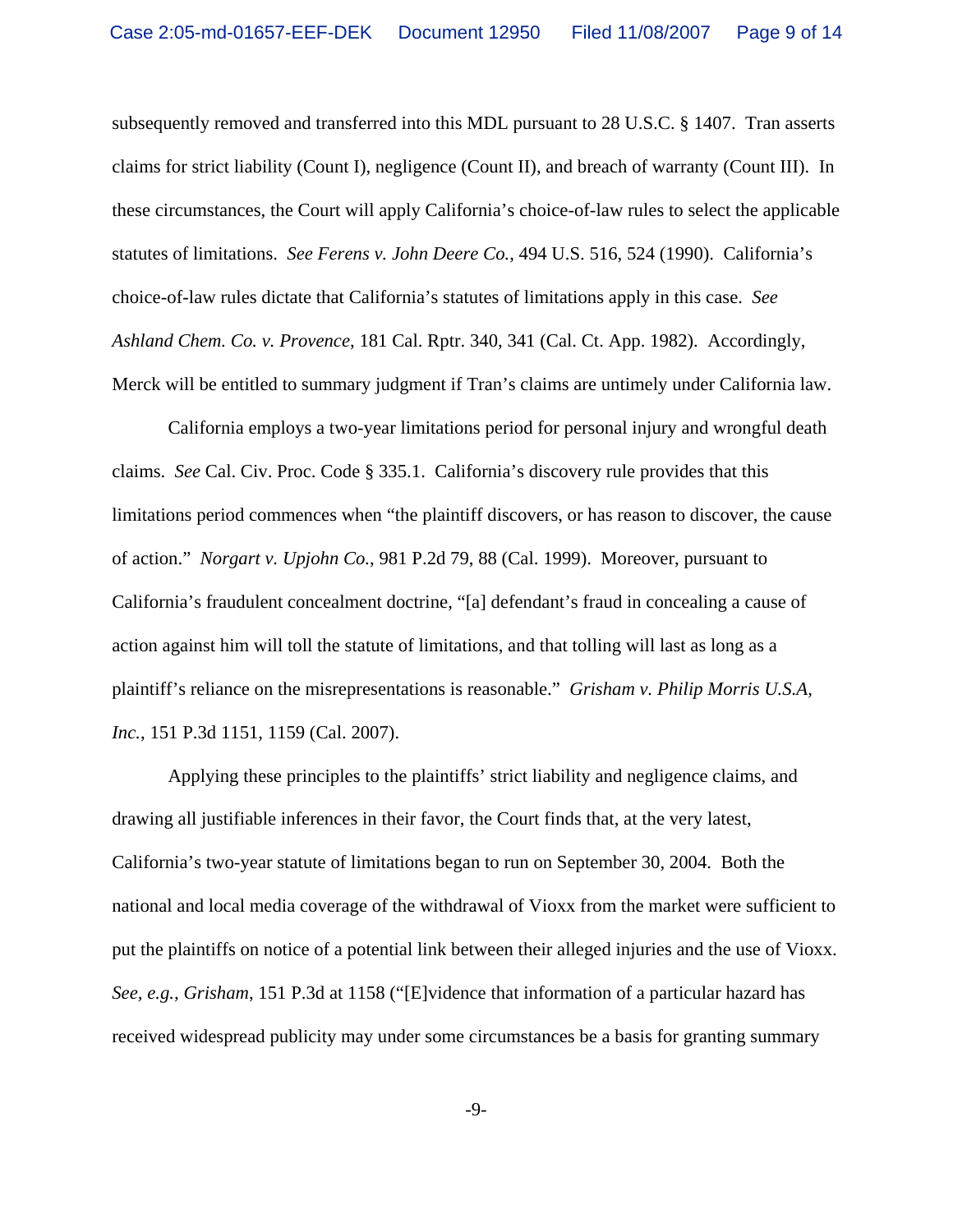subsequently removed and transferred into this MDL pursuant to 28 U.S.C. § 1407. Tran asserts claims for strict liability (Count I), negligence (Count II), and breach of warranty (Count III). In these circumstances, the Court will apply California's choice-of-law rules to select the applicable statutes of limitations. *See Ferens v. John Deere Co.*, 494 U.S. 516, 524 (1990). California's choice-of-law rules dictate that California's statutes of limitations apply in this case. *See Ashland Chem. Co. v. Provence*, 181 Cal. Rptr. 340, 341 (Cal. Ct. App. 1982). Accordingly, Merck will be entitled to summary judgment if Tran's claims are untimely under California law.

California employs a two-year limitations period for personal injury and wrongful death claims. *See* Cal. Civ. Proc. Code § 335.1. California's discovery rule provides that this limitations period commences when "the plaintiff discovers, or has reason to discover, the cause of action." *Norgart v. Upjohn Co.*, 981 P.2d 79, 88 (Cal. 1999). Moreover, pursuant to California's fraudulent concealment doctrine, "[a] defendant's fraud in concealing a cause of action against him will toll the statute of limitations, and that tolling will last as long as a plaintiff's reliance on the misrepresentations is reasonable." *Grisham v. Philip Morris U.S.A, Inc.*, 151 P.3d 1151, 1159 (Cal. 2007).

Applying these principles to the plaintiffs' strict liability and negligence claims, and drawing all justifiable inferences in their favor, the Court finds that, at the very latest, California's two-year statute of limitations began to run on September 30, 2004. Both the national and local media coverage of the withdrawal of Vioxx from the market were sufficient to put the plaintiffs on notice of a potential link between their alleged injuries and the use of Vioxx. *See, e.g., Grisham*, 151 P.3d at 1158 ("[E]vidence that information of a particular hazard has received widespread publicity may under some circumstances be a basis for granting summary

-9-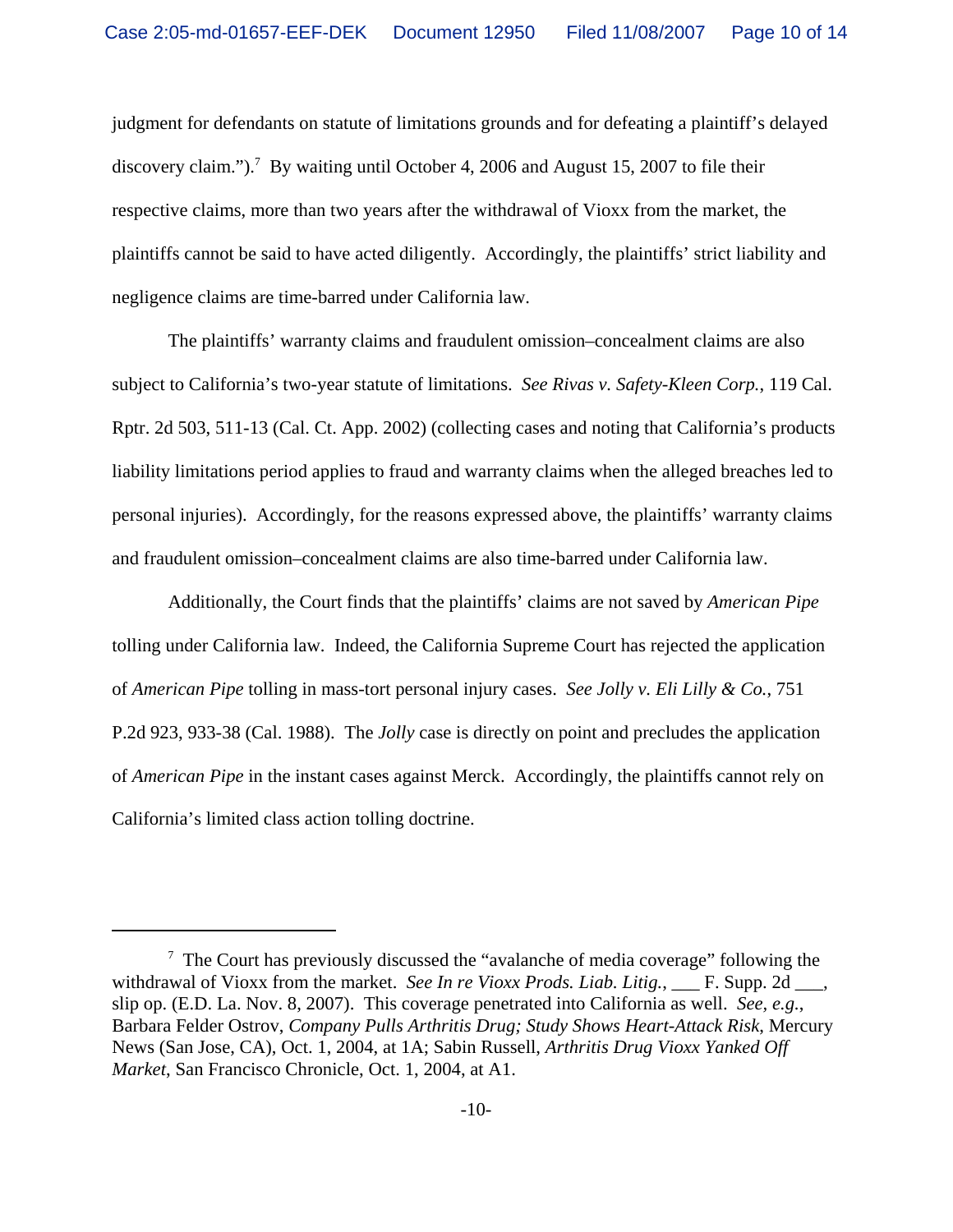judgment for defendants on statute of limitations grounds and for defeating a plaintiff's delayed discovery claim.").<sup>7</sup> By waiting until October 4, 2006 and August 15, 2007 to file their respective claims, more than two years after the withdrawal of Vioxx from the market, the plaintiffs cannot be said to have acted diligently. Accordingly, the plaintiffs' strict liability and negligence claims are time-barred under California law.

The plaintiffs' warranty claims and fraudulent omission–concealment claims are also subject to California's two-year statute of limitations. *See Rivas v. Safety-Kleen Corp.*, 119 Cal. Rptr. 2d 503, 511-13 (Cal. Ct. App. 2002) (collecting cases and noting that California's products liability limitations period applies to fraud and warranty claims when the alleged breaches led to personal injuries). Accordingly, for the reasons expressed above, the plaintiffs' warranty claims and fraudulent omission–concealment claims are also time-barred under California law.

Additionally, the Court finds that the plaintiffs' claims are not saved by *American Pipe* tolling under California law. Indeed, the California Supreme Court has rejected the application of *American Pipe* tolling in mass-tort personal injury cases. *See Jolly v. Eli Lilly & Co.*, 751 P.2d 923, 933-38 (Cal. 1988). The *Jolly* case is directly on point and precludes the application of *American Pipe* in the instant cases against Merck. Accordingly, the plaintiffs cannot rely on California's limited class action tolling doctrine.

 $7$  The Court has previously discussed the "avalanche of media coverage" following the withdrawal of Vioxx from the market. *See In re Vioxx Prods. Liab. Litig.*, \_\_\_ F. Supp. 2d \_\_\_, slip op. (E.D. La. Nov. 8, 2007). This coverage penetrated into California as well. *See, e.g.*, Barbara Felder Ostrov, *Company Pulls Arthritis Drug; Study Shows Heart-Attack Risk*, Mercury News (San Jose, CA), Oct. 1, 2004, at 1A; Sabin Russell, *Arthritis Drug Vioxx Yanked Off Market*, San Francisco Chronicle, Oct. 1, 2004, at A1.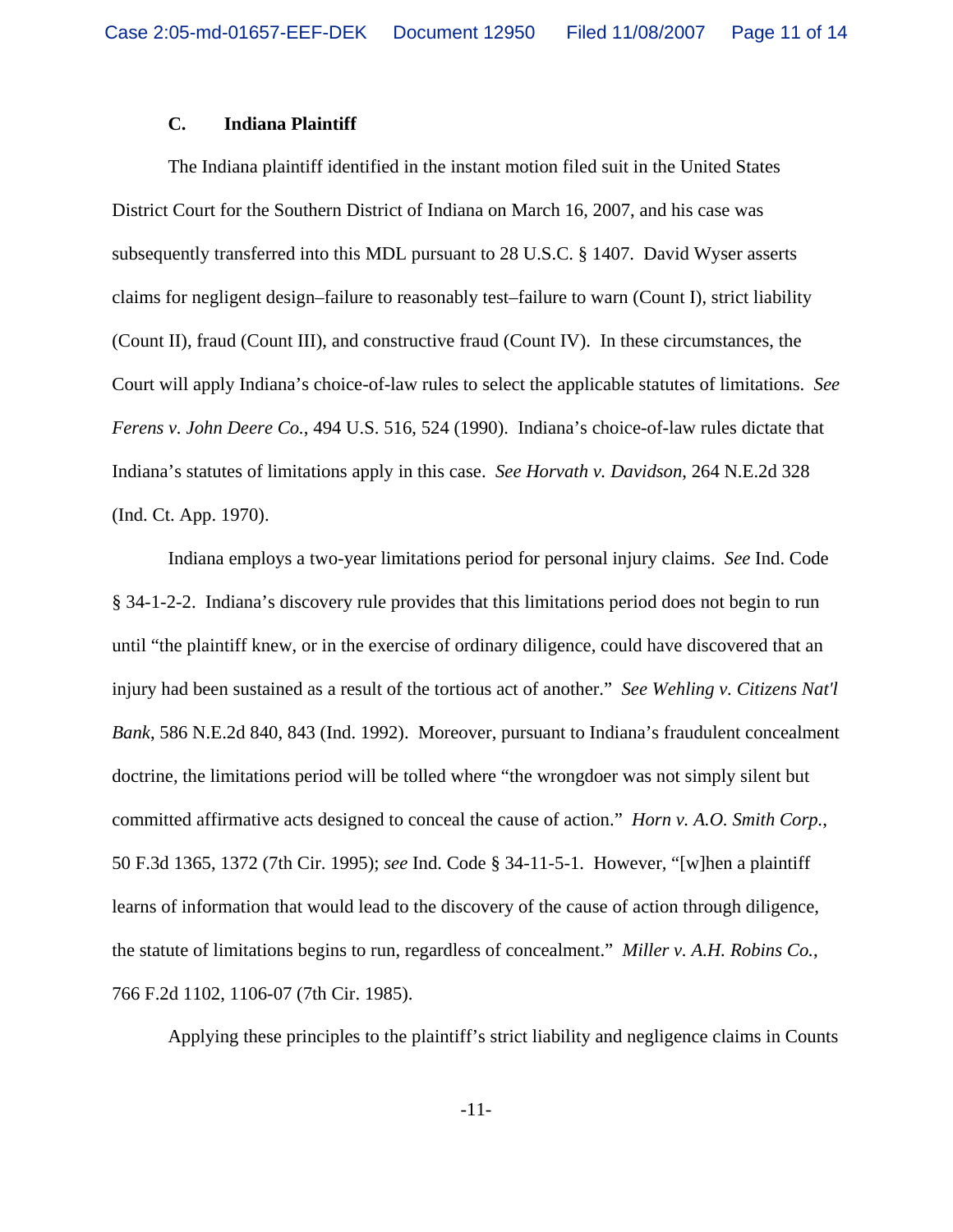### **C. Indiana Plaintiff**

The Indiana plaintiff identified in the instant motion filed suit in the United States District Court for the Southern District of Indiana on March 16, 2007, and his case was subsequently transferred into this MDL pursuant to 28 U.S.C. § 1407. David Wyser asserts claims for negligent design–failure to reasonably test–failure to warn (Count I), strict liability (Count II), fraud (Count III), and constructive fraud (Count IV). In these circumstances, the Court will apply Indiana's choice-of-law rules to select the applicable statutes of limitations. *See Ferens v. John Deere Co.*, 494 U.S. 516, 524 (1990). Indiana's choice-of-law rules dictate that Indiana's statutes of limitations apply in this case. *See Horvath v. Davidson*, 264 N.E.2d 328 (Ind. Ct. App. 1970).

Indiana employs a two-year limitations period for personal injury claims. *See* Ind. Code § 34-1-2-2. Indiana's discovery rule provides that this limitations period does not begin to run until "the plaintiff knew, or in the exercise of ordinary diligence, could have discovered that an injury had been sustained as a result of the tortious act of another." *See Wehling v. Citizens Nat'l Bank*, 586 N.E.2d 840, 843 (Ind. 1992). Moreover, pursuant to Indiana's fraudulent concealment doctrine, the limitations period will be tolled where "the wrongdoer was not simply silent but committed affirmative acts designed to conceal the cause of action." *Horn v. A.O. Smith Corp.*, 50 F.3d 1365, 1372 (7th Cir. 1995); *see* Ind. Code § 34-11-5-1. However, "[w]hen a plaintiff learns of information that would lead to the discovery of the cause of action through diligence, the statute of limitations begins to run, regardless of concealment." *Miller v. A.H. Robins Co.*, 766 F.2d 1102, 1106-07 (7th Cir. 1985).

Applying these principles to the plaintiff's strict liability and negligence claims in Counts

-11-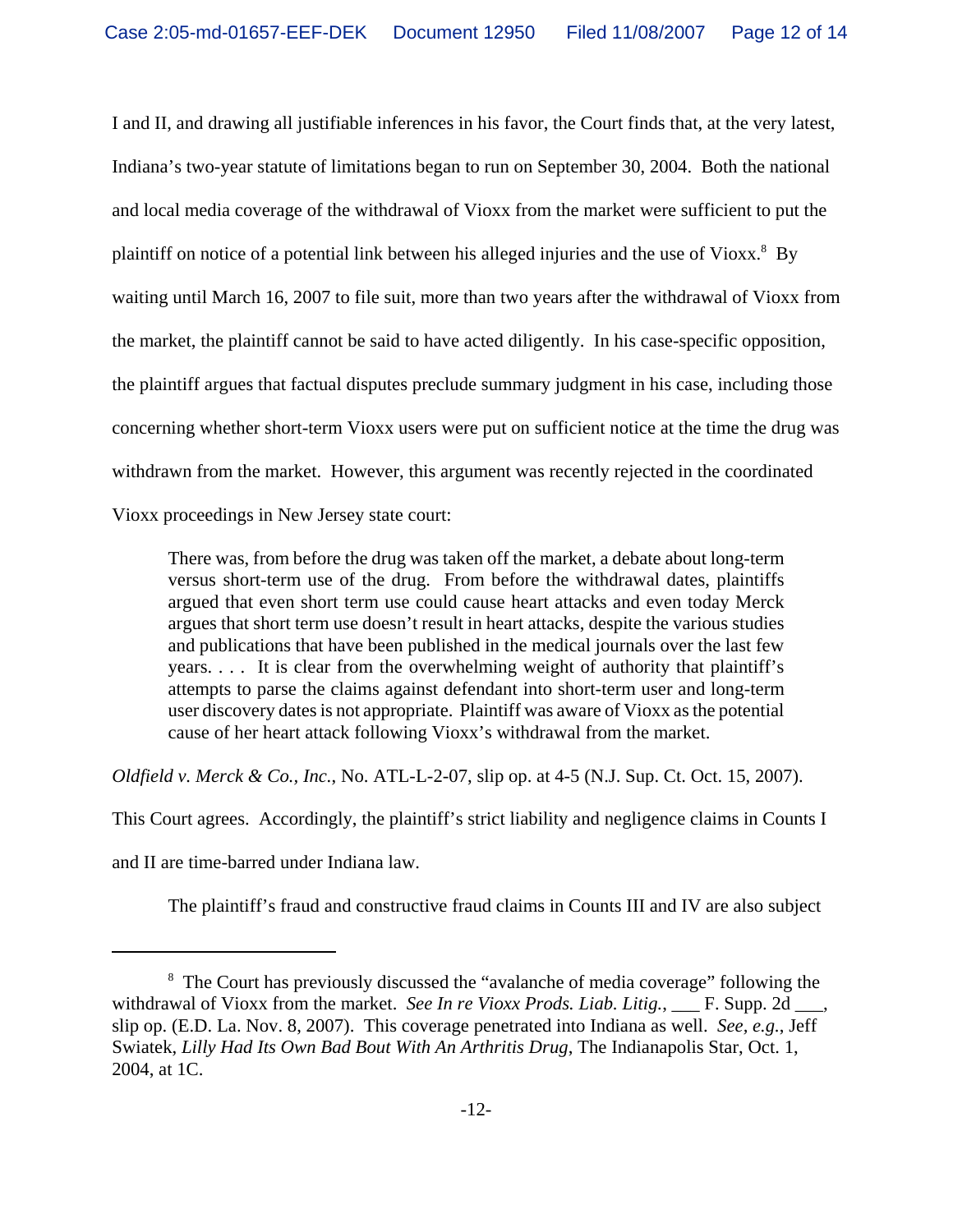I and II, and drawing all justifiable inferences in his favor, the Court finds that, at the very latest, Indiana's two-year statute of limitations began to run on September 30, 2004. Both the national and local media coverage of the withdrawal of Vioxx from the market were sufficient to put the plaintiff on notice of a potential link between his alleged injuries and the use of Vioxx.<sup>8</sup> By waiting until March 16, 2007 to file suit, more than two years after the withdrawal of Vioxx from the market, the plaintiff cannot be said to have acted diligently. In his case-specific opposition, the plaintiff argues that factual disputes preclude summary judgment in his case, including those concerning whether short-term Vioxx users were put on sufficient notice at the time the drug was withdrawn from the market. However, this argument was recently rejected in the coordinated Vioxx proceedings in New Jersey state court:

There was, from before the drug was taken off the market, a debate about long-term versus short-term use of the drug. From before the withdrawal dates, plaintiffs argued that even short term use could cause heart attacks and even today Merck argues that short term use doesn't result in heart attacks, despite the various studies and publications that have been published in the medical journals over the last few years. . . . It is clear from the overwhelming weight of authority that plaintiff's attempts to parse the claims against defendant into short-term user and long-term user discovery dates is not appropriate. Plaintiff was aware of Vioxx as the potential cause of her heart attack following Vioxx's withdrawal from the market.

*Oldfield v. Merck & Co., Inc.*, No. ATL-L-2-07, slip op. at 4-5 (N.J. Sup. Ct. Oct. 15, 2007).

This Court agrees. Accordingly, the plaintiff's strict liability and negligence claims in Counts I

and II are time-barred under Indiana law.

The plaintiff's fraud and constructive fraud claims in Counts III and IV are also subject

<sup>&</sup>lt;sup>8</sup> The Court has previously discussed the "avalanche of media coverage" following the withdrawal of Vioxx from the market. *See In re Vioxx Prods. Liab. Litig.*, F. Supp. 2d slip op. (E.D. La. Nov. 8, 2007). This coverage penetrated into Indiana as well. *See, e.g.*, Jeff Swiatek, *Lilly Had Its Own Bad Bout With An Arthritis Drug*, The Indianapolis Star, Oct. 1, 2004, at 1C.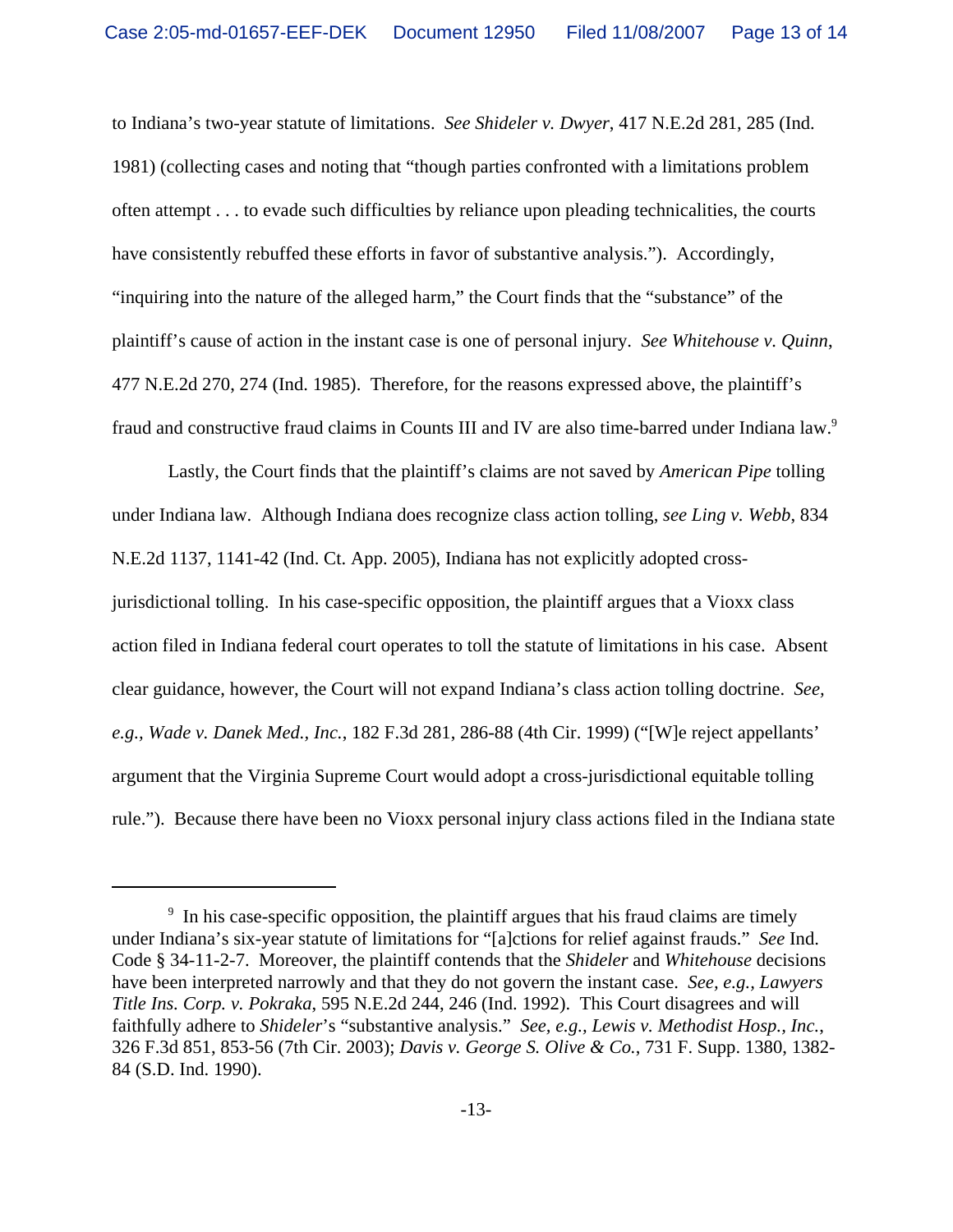to Indiana's two-year statute of limitations. *See Shideler v. Dwyer*, 417 N.E.2d 281, 285 (Ind. 1981) (collecting cases and noting that "though parties confronted with a limitations problem often attempt . . . to evade such difficulties by reliance upon pleading technicalities, the courts have consistently rebuffed these efforts in favor of substantive analysis."). Accordingly, "inquiring into the nature of the alleged harm," the Court finds that the "substance" of the plaintiff's cause of action in the instant case is one of personal injury. *See Whitehouse v. Quinn*, 477 N.E.2d 270, 274 (Ind. 1985). Therefore, for the reasons expressed above, the plaintiff's fraud and constructive fraud claims in Counts III and IV are also time-barred under Indiana law.9

Lastly, the Court finds that the plaintiff's claims are not saved by *American Pipe* tolling under Indiana law. Although Indiana does recognize class action tolling, *see Ling v. Webb*, 834 N.E.2d 1137, 1141-42 (Ind. Ct. App. 2005), Indiana has not explicitly adopted crossjurisdictional tolling. In his case-specific opposition, the plaintiff argues that a Vioxx class action filed in Indiana federal court operates to toll the statute of limitations in his case. Absent clear guidance, however, the Court will not expand Indiana's class action tolling doctrine. *See, e.g., Wade v. Danek Med., Inc.*, 182 F.3d 281, 286-88 (4th Cir. 1999) ("[W]e reject appellants' argument that the Virginia Supreme Court would adopt a cross-jurisdictional equitable tolling rule."). Because there have been no Vioxx personal injury class actions filed in the Indiana state

<sup>&</sup>lt;sup>9</sup> In his case-specific opposition, the plaintiff argues that his fraud claims are timely under Indiana's six-year statute of limitations for "[a]ctions for relief against frauds." *See* Ind. Code § 34-11-2-7. Moreover, the plaintiff contends that the *Shideler* and *Whitehouse* decisions have been interpreted narrowly and that they do not govern the instant case. *See, e.g., Lawyers Title Ins. Corp. v. Pokraka*, 595 N.E.2d 244, 246 (Ind. 1992). This Court disagrees and will faithfully adhere to *Shideler*'s "substantive analysis." *See, e.g., Lewis v. Methodist Hosp., Inc.*, 326 F.3d 851, 853-56 (7th Cir. 2003); *Davis v. George S. Olive & Co.*, 731 F. Supp. 1380, 1382- 84 (S.D. Ind. 1990).